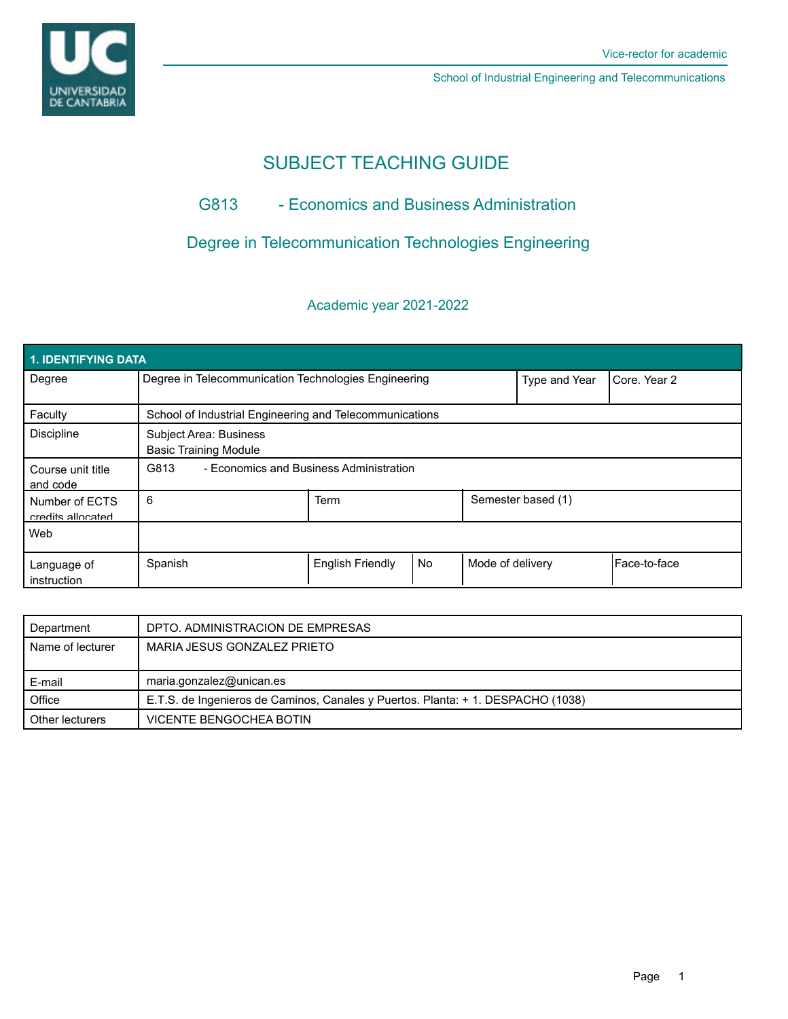

# SUBJECT TEACHING GUIDE

## G813 - Economics and Business Administration

## Degree in Telecommunication Technologies Engineering

## Academic year 2021-2022

| 1. IDENTIFYING DATA                 |                                                         |                         |           |                  |                    |                |  |  |  |
|-------------------------------------|---------------------------------------------------------|-------------------------|-----------|------------------|--------------------|----------------|--|--|--|
| Degree                              | Degree in Telecommunication Technologies Engineering    |                         |           | Type and Year    | Core, Year 2       |                |  |  |  |
| Faculty                             | School of Industrial Engineering and Telecommunications |                         |           |                  |                    |                |  |  |  |
| <b>Discipline</b>                   | Subject Area: Business<br><b>Basic Training Module</b>  |                         |           |                  |                    |                |  |  |  |
| Course unit title<br>and code       | G813<br>- Economics and Business Administration         |                         |           |                  |                    |                |  |  |  |
| Number of ECTS<br>credits allocated | 6                                                       | Term                    |           |                  | Semester based (1) |                |  |  |  |
| Web                                 |                                                         |                         |           |                  |                    |                |  |  |  |
| Language of<br>instruction          | Spanish                                                 | <b>English Friendly</b> | <b>No</b> | Mode of delivery |                    | l Face-to-face |  |  |  |

| Department       | DPTO. ADMINISTRACION DE EMPRESAS                                                 |
|------------------|----------------------------------------------------------------------------------|
| Name of lecturer | MARIA JESUS GONZALEZ PRIETO                                                      |
|                  |                                                                                  |
|                  |                                                                                  |
| E-mail           | maria.gonzalez@unican.es                                                         |
| Office           | E.T.S. de Ingenieros de Caminos, Canales y Puertos. Planta: + 1. DESPACHO (1038) |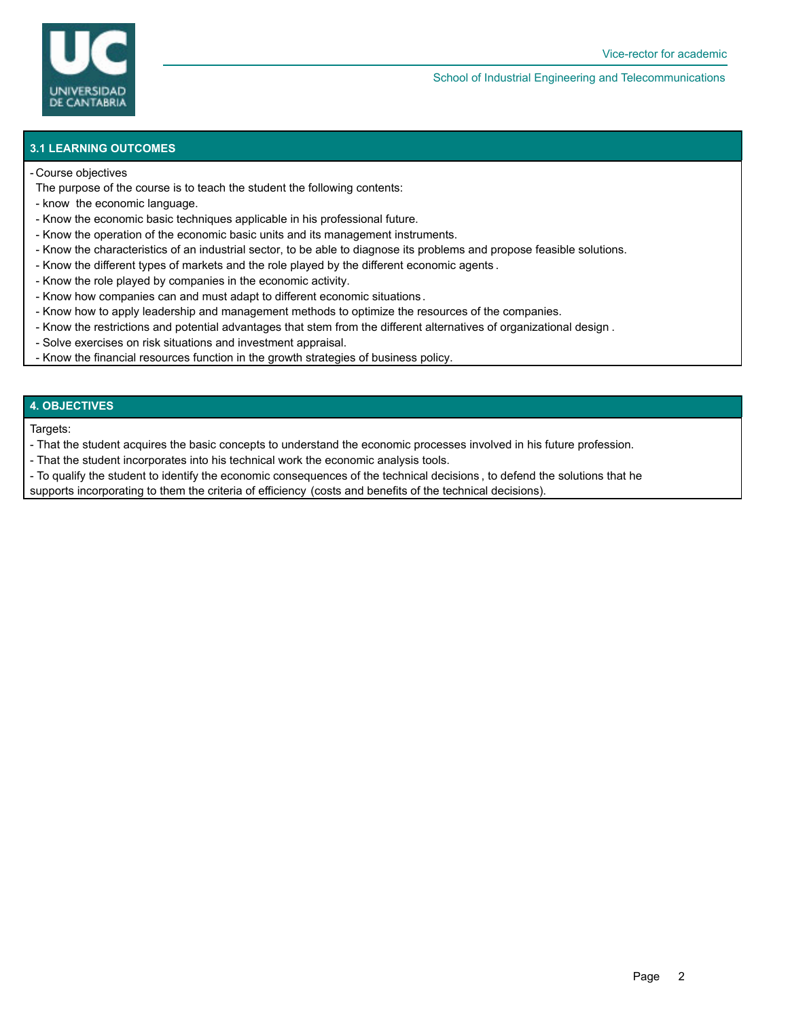

### **3.1 LEARNING OUTCOMES**

#### Course objectives -

- The purpose of the course is to teach the student the following contents:
- know the economic language.
- Know the economic basic techniques applicable in his professional future.
- Know the operation of the economic basic units and its management instruments.
- Know the characteristics of an industrial sector, to be able to diagnose its problems and propose feasible solutions.
- Know the different types of markets and the role played by the different economic agents .
- Know the role played by companies in the economic activity.
- Know how companies can and must adapt to different economic situations .
- Know how to apply leadership and management methods to optimize the resources of the companies.
- Know the restrictions and potential advantages that stem from the different alternatives of organizational design .
- Solve exercises on risk situations and investment appraisal.
- Know the financial resources function in the growth strategies of business policy.

### **4. OBJECTIVES**

Targets:

- That the student acquires the basic concepts to understand the economic processes involved in his future profession.
- That the student incorporates into his technical work the economic analysis tools.
- To qualify the student to identify the economic consequences of the technical decisions , to defend the solutions that he
- supports incorporating to them the criteria of efficiency (costs and benefits of the technical decisions).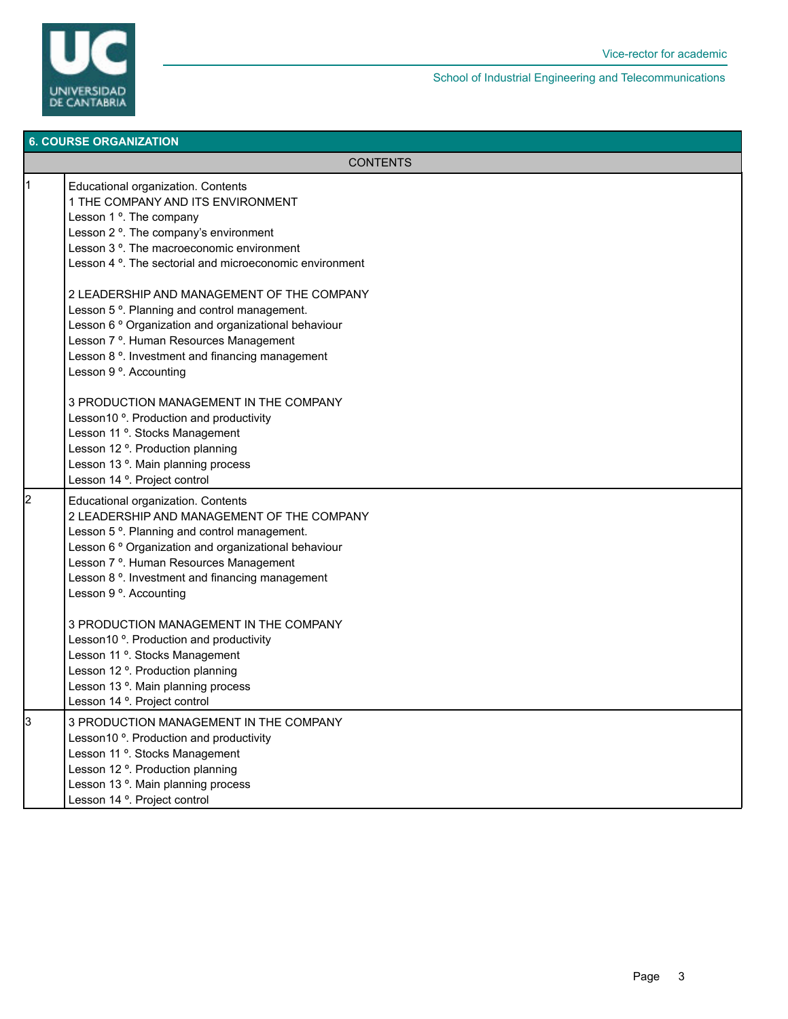

|    | <b>6. COURSE ORGANIZATION</b>                                                                                                                                                                                                                                                                                                                                   |  |  |  |  |
|----|-----------------------------------------------------------------------------------------------------------------------------------------------------------------------------------------------------------------------------------------------------------------------------------------------------------------------------------------------------------------|--|--|--|--|
|    | <b>CONTENTS</b>                                                                                                                                                                                                                                                                                                                                                 |  |  |  |  |
| 11 | Educational organization. Contents<br>1 THE COMPANY AND ITS ENVIRONMENT<br>Lesson 1 °. The company<br>Lesson 2 <sup>o</sup> . The company's environment<br>Lesson 3 <sup>o</sup> . The macroeconomic environment<br>Lesson 4 <sup>o</sup> . The sectorial and microeconomic environment                                                                         |  |  |  |  |
|    | 2 LEADERSHIP AND MANAGEMENT OF THE COMPANY<br>Lesson 5 <sup>o</sup> . Planning and control management.<br>Lesson 6 <sup>°</sup> Organization and organizational behaviour<br>Lesson 7 <sup>o</sup> . Human Resources Management<br>Lesson 8 <sup>o</sup> . Investment and financing management<br>Lesson 9 <sup>o</sup> . Accounting                            |  |  |  |  |
|    | 3 PRODUCTION MANAGEMENT IN THE COMPANY<br>Lesson10 <sup>o</sup> . Production and productivity<br>Lesson 11 <sup>o</sup> . Stocks Management<br>Lesson 12 <sup>o</sup> . Production planning<br>Lesson 13 <sup>°</sup> . Main planning process<br>Lesson 14 <sup>°</sup> . Project control                                                                       |  |  |  |  |
| l2 | Educational organization. Contents<br>2 LEADERSHIP AND MANAGEMENT OF THE COMPANY<br>Lesson 5 <sup>o</sup> . Planning and control management.<br>Lesson 6 ° Organization and organizational behaviour<br>Lesson 7 <sup>o</sup> . Human Resources Management<br>Lesson 8 <sup>o</sup> . Investment and financing management<br>Lesson 9 <sup>o</sup> . Accounting |  |  |  |  |
|    | 3 PRODUCTION MANAGEMENT IN THE COMPANY<br>Lesson10 <sup>o</sup> . Production and productivity<br>Lesson 11 <sup>o</sup> . Stocks Management<br>Lesson 12 <sup>o</sup> . Production planning<br>Lesson 13 <sup>o</sup> . Main planning process<br>Lesson 14 °. Project control                                                                                   |  |  |  |  |
| 3  | 3 PRODUCTION MANAGEMENT IN THE COMPANY<br>Lesson10 <sup>o</sup> . Production and productivity<br>Lesson 11 <sup>o</sup> . Stocks Management<br>Lesson 12 <sup>o</sup> . Production planning<br>Lesson 13 <sup>o</sup> . Main planning process<br>Lesson 14 <sup>°</sup> . Project control                                                                       |  |  |  |  |